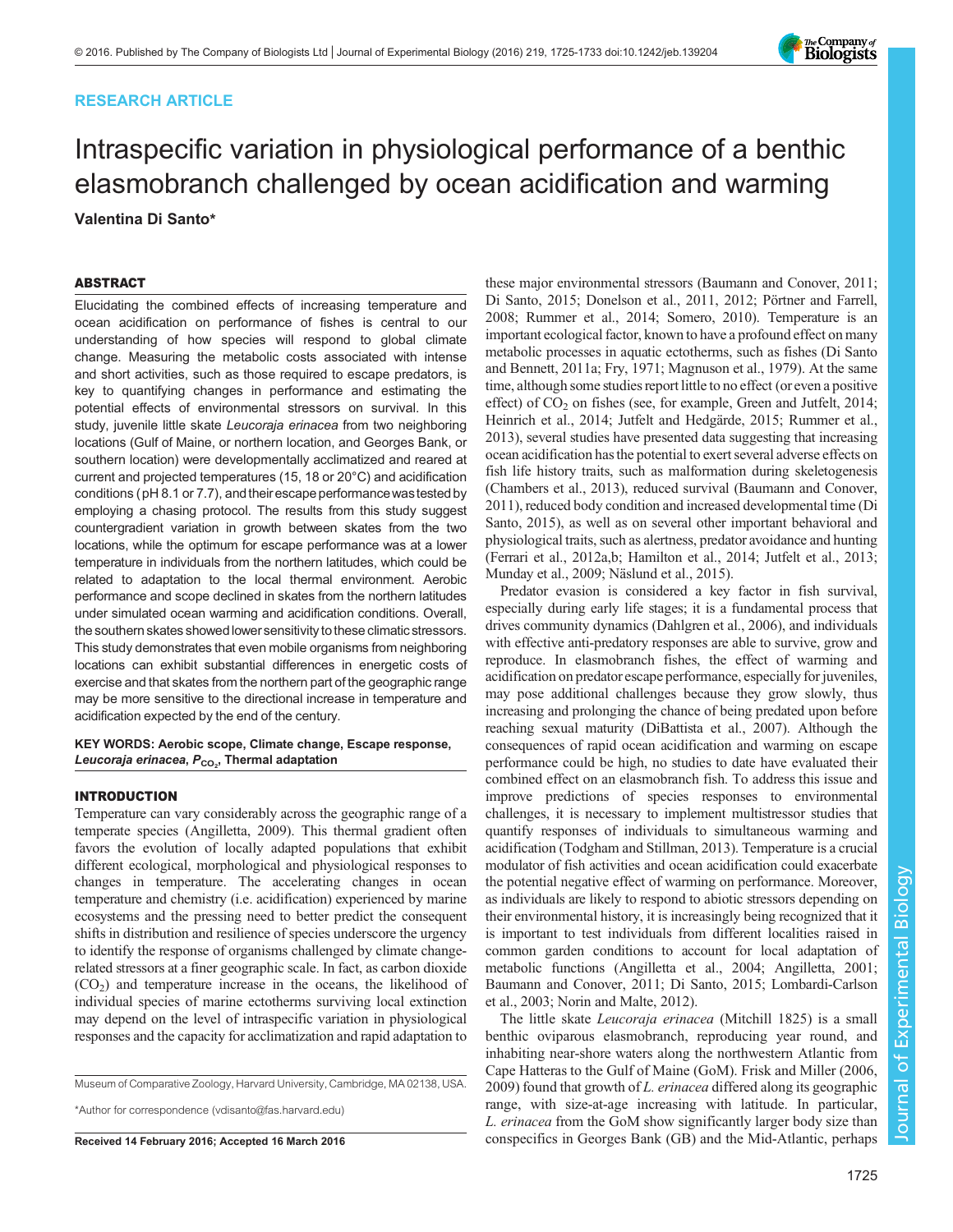# RESEARCH ARTICLE

# Intraspecific variation in physiological performance of a benthic elasmobranch challenged by ocean acidification and warming Valentina Di Santo\*

# ABSTRACT

Elucidating the combined effects of increasing temperature and ocean acidification on performance of fishes is central to our understanding of how species will respond to global climate change. Measuring the metabolic costs associated with intense and short activities, such as those required to escape predators, is key to quantifying changes in performance and estimating the potential effects of environmental stressors on survival. In this study, juvenile little skate Leucoraja erinacea from two neighboring locations (Gulf of Maine, or northern location, and Georges Bank, or southern location) were developmentally acclimatized and reared at current and projected temperatures (15, 18 or 20°C) and acidification conditions (pH 8.1 or 7.7), and their escape performancewastested by employing a chasing protocol. The results from this study suggest countergradient variation in growth between skates from the two locations, while the optimum for escape performance was at a lower temperature in individuals from the northern latitudes, which could be related to adaptation to the local thermal environment. Aerobic performance and scope declined in skates from the northern latitudes under simulated ocean warming and acidification conditions. Overall, the southern skates showed lower sensitivity to these climatic stressors. This study demonstrates that even mobile organisms from neighboring locations can exhibit substantial differences in energetic costs of exercise and that skates from the northern part of the geographic range may be more sensitive to the directional increase in temperature and acidification expected by the end of the century.

KEY WORDS: Aerobic scope, Climate change, Escape response, Le*ucoraja erinacea, P<sub>CO2</sub>,* Thermal adaptation

### INTRODUCTION

Temperature can vary considerably across the geographic range of a temperate species [\(Angilletta, 2009](#page-7-0)). This thermal gradient often favors the evolution of locally adapted populations that exhibit different ecological, morphological and physiological responses to changes in temperature. The accelerating changes in ocean temperature and chemistry (i.e. acidification) experienced by marine ecosystems and the pressing need to better predict the consequent shifts in distribution and resilience of species underscore the urgency to identify the response of organisms challenged by climate changerelated stressors at a finer geographic scale. In fact, as carbon dioxide  $(CO<sub>2</sub>)$  and temperature increase in the oceans, the likelihood of individual species of marine ectotherms surviving local extinction may depend on the level of intraspecific variation in physiological responses and the capacity for acclimatization and rapid adaptation to

Museum of Comparative Zoology, Harvard University, Cambridge, MA 02138, USA.

\*Author for correspondence [\(vdisanto@fas.harvard.edu](mailto:vdisanto@fas.harvard.edu))

these major environmental stressors [\(Baumann and Conover, 2011](#page-7-0); [Di Santo, 2015; Donelson et al., 2011](#page-7-0), [2012](#page-7-0); [Pörtner and Farrell,](#page-8-0) [2008; Rummer et al., 2014](#page-8-0); [Somero, 2010](#page-8-0)). Temperature is an important ecological factor, known to have a profound effect on many metabolic processes in aquatic ectotherms, such as fishes ([Di Santo](#page-7-0) [and Bennett, 2011a; Fry, 1971; Magnuson et al., 1979](#page-7-0)). At the same time, although some studies report little to no effect (or even a positive effect) of  $CO<sub>2</sub>$  on fishes (see, for example, [Green and Jutfelt, 2014](#page-7-0); [Heinrich et al., 2014](#page-7-0); [Jutfelt and Hedgärde, 2015;](#page-7-0) [Rummer et al.,](#page-8-0) [2013\)](#page-8-0), several studies have presented data suggesting that increasing ocean acidification has the potential to exert several adverse effects on fish life history traits, such as malformation during skeletogenesis [\(Chambers et al., 2013](#page-7-0)), reduced survival ([Baumann and Conover,](#page-7-0) [2011\)](#page-7-0), reduced body condition and increased developmental time ([Di](#page-7-0) [Santo, 2015](#page-7-0)), as well as on several other important behavioral and physiological traits, such as alertness, predator avoidance and hunting [\(Ferrari et al., 2012a,b](#page-7-0); [Hamilton et al., 2014; Jutfelt et al., 2013](#page-7-0); [Munday et al., 2009;](#page-7-0) [Näslund et al., 2015](#page-8-0)).

Predator evasion is considered a key factor in fish survival, especially during early life stages; it is a fundamental process that drives community dynamics [\(Dahlgren et al., 2006\)](#page-7-0), and individuals with effective anti-predatory responses are able to survive, grow and reproduce. In elasmobranch fishes, the effect of warming and acidification on predator escape performance, especially for juveniles, may pose additional challenges because they grow slowly, thus increasing and prolonging the chance of being predated upon before reaching sexual maturity [\(DiBattista et al., 2007\)](#page-7-0). Although the consequences of rapid ocean acidification and warming on escape performance could be high, no studies to date have evaluated their combined effect on an elasmobranch fish. To address this issue and improve predictions of species responses to environmental challenges, it is necessary to implement multistressor studies that quantify responses of individuals to simultaneous warming and acidification [\(Todgham and Stillman, 2013\)](#page-8-0). Temperature is a crucial modulator of fish activities and ocean acidification could exacerbate the potential negative effect of warming on performance. Moreover, as individuals are likely to respond to abiotic stressors depending on their environmental history, it is increasingly being recognized that it is important to test individuals from different localities raised in common garden conditions to account for local adaptation of metabolic functions ([Angilletta et al., 2004](#page-7-0); [Angilletta, 2001](#page-7-0); [Baumann and Conover, 2011; Di Santo, 2015](#page-7-0); [Lombardi-Carlson](#page-7-0) [et al., 2003](#page-7-0); [Norin and Malte, 2012](#page-8-0)).

The little skate Leucoraja erinacea (Mitchill 1825) is a small benthic oviparous elasmobranch, reproducing year round, and inhabiting near-shore waters along the northwestern Atlantic from Cape Hatteras to the Gulf of Maine (GoM). [Frisk and Miller \(2006,](#page-7-0) [2009\)](#page-7-0) found that growth of L. erinacea differed along its geographic range, with size-at-age increasing with latitude. In particular, L. erinacea from the GoM show significantly larger body size than Received 14 February 2016; Accepted 16 March 2016 conspecifics in Georges Bank (GB) and the Mid-Atlantic, perhaps

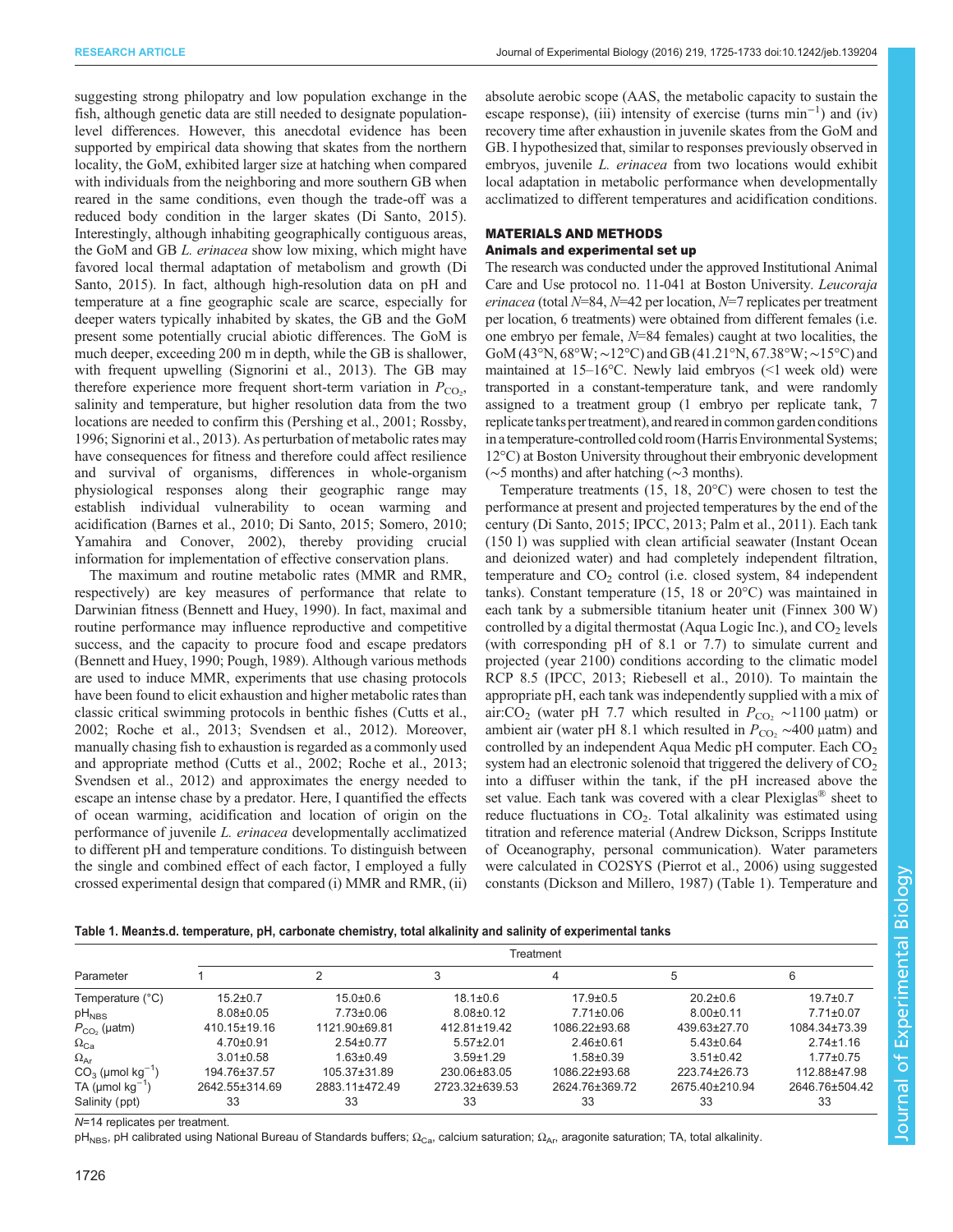RESEARCH ARTICLE **ARTICLE** ARTICLE ARTICLE **Journal of Experimental Biology (2016)** 219, 1725-1733 doi:10.1242/jeb.139204

suggesting strong philopatry and low population exchange in the fish, although genetic data are still needed to designate populationlevel differences. However, this anecdotal evidence has been supported by empirical data showing that skates from the northern locality, the GoM, exhibited larger size at hatching when compared with individuals from the neighboring and more southern GB when reared in the same conditions, even though the trade-off was a reduced body condition in the larger skates ([Di Santo, 2015\)](#page-7-0). Interestingly, although inhabiting geographically contiguous areas, the GoM and GB L. erinacea show low mixing, which might have favored local thermal adaptation of metabolism and growth ([Di](#page-7-0) [Santo, 2015](#page-7-0)). In fact, although high-resolution data on pH and temperature at a fine geographic scale are scarce, especially for deeper waters typically inhabited by skates, the GB and the GoM present some potentially crucial abiotic differences. The GoM is much deeper, exceeding 200 m in depth, while the GB is shallower, with frequent upwelling [\(Signorini et al., 2013\)](#page-8-0). The GB may therefore experience more frequent short-term variation in  $P_{\text{CO}_2}$ , salinity and temperature, but higher resolution data from the two locations are needed to confirm this ([Pershing et al., 2001](#page-8-0); [Rossby,](#page-8-0) [1996](#page-8-0); [Signorini et al., 2013](#page-8-0)). As perturbation of metabolic rates may have consequences for fitness and therefore could affect resilience and survival of organisms, differences in whole-organism physiological responses along their geographic range may establish individual vulnerability to ocean warming and acidification ([Barnes et al., 2010; Di Santo, 2015;](#page-7-0) [Somero, 2010](#page-8-0); [Yamahira and Conover, 2002](#page-8-0)), thereby providing crucial information for implementation of effective conservation plans.

The maximum and routine metabolic rates (MMR and RMR, respectively) are key measures of performance that relate to Darwinian fitness ([Bennett and Huey, 1990](#page-7-0)). In fact, maximal and routine performance may influence reproductive and competitive success, and the capacity to procure food and escape predators [\(Bennett and Huey, 1990](#page-7-0); [Pough, 1989](#page-8-0)). Although various methods are used to induce MMR, experiments that use chasing protocols have been found to elicit exhaustion and higher metabolic rates than classic critical swimming protocols in benthic fishes ([Cutts et al.,](#page-7-0) [2002](#page-7-0); [Roche et al., 2013; Svendsen et al., 2012](#page-8-0)). Moreover, manually chasing fish to exhaustion is regarded as a commonly used and appropriate method ([Cutts et al., 2002](#page-7-0); [Roche et al., 2013](#page-8-0); [Svendsen et al., 2012\)](#page-8-0) and approximates the energy needed to escape an intense chase by a predator. Here, I quantified the effects of ocean warming, acidification and location of origin on the performance of juvenile L. erinacea developmentally acclimatized to different pH and temperature conditions. To distinguish between the single and combined effect of each factor, I employed a fully crossed experimental design that compared (i) MMR and RMR, (ii)

absolute aerobic scope (AAS, the metabolic capacity to sustain the escape response), (iii) intensity of exercise (turns min<sup>-1</sup>) and (iv) recovery time after exhaustion in juvenile skates from the GoM and GB. I hypothesized that, similar to responses previously observed in embryos, juvenile L. erinacea from two locations would exhibit local adaptation in metabolic performance when developmentally acclimatized to different temperatures and acidification conditions.

# MATERIALS AND METHODS

# Animals and experimental set up

The research was conducted under the approved Institutional Animal Care and Use protocol no. 11-041 at Boston University. Leucoraja erinacea (total  $N=84$ ,  $N=42$  per location,  $N=7$  replicates per treatment per location, 6 treatments) were obtained from different females (i.e. one embryo per female,  $N=84$  females) caught at two localities, the GoM (43°N, 68°W;∼12°C) and GB (41.21°N, 67.38°W;∼15°C) and maintained at 15–16°C. Newly laid embryos (<1 week old) were transported in a constant-temperature tank, and were randomly assigned to a treatment group (1 embryo per replicate tank, 7 replicate tanks per treatment), and reared in common garden conditions in atemperature-controlled cold room (Harris Environmental Systems; 12°C) at Boston University throughout their embryonic development (∼5 months) and after hatching (∼3 months).

Temperature treatments (15, 18, 20°C) were chosen to test the performance at present and projected temperatures by the end of the century [\(Di Santo, 2015](#page-7-0); [IPCC, 2013;](#page-7-0) [Palm et al., 2011](#page-8-0)). Each tank (150 l) was supplied with clean artificial seawater (Instant Ocean and deionized water) and had completely independent filtration, temperature and  $CO<sub>2</sub>$  control (i.e. closed system, 84 independent tanks). Constant temperature (15, 18 or 20°C) was maintained in each tank by a submersible titanium heater unit (Finnex 300 W) controlled by a digital thermostat (Aqua Logic Inc.), and  $CO<sub>2</sub>$  levels (with corresponding pH of 8.1 or 7.7) to simulate current and projected (year 2100) conditions according to the climatic model RCP 8.5 [\(IPCC, 2013;](#page-7-0) [Riebesell et al., 2010](#page-8-0)). To maintain the appropriate pH, each tank was independently supplied with a mix of air:CO<sub>2</sub> (water pH 7.7 which resulted in  $P_{\text{CO}_2} \sim 1100 \,\mu \text{atm}$ ) or ambient air (water pH 8.1 which resulted in  $P_{\text{CO}_2} \sim 400 \mu \text{atm}$ ) and controlled by an independent Aqua Medic pH computer. Each  $CO<sub>2</sub>$ system had an electronic solenoid that triggered the delivery of  $CO<sub>2</sub>$ into a diffuser within the tank, if the pH increased above the set value. Each tank was covered with a clear Plexiglas® sheet to reduce fluctuations in  $CO<sub>2</sub>$ . Total alkalinity was estimated using titration and reference material (Andrew Dickson, Scripps Institute of Oceanography, personal communication). Water parameters were calculated in CO2SYS [\(Pierrot et al., 2006](#page-8-0)) using suggested constants ([Dickson and Millero, 1987](#page-7-0)) (Table 1). Temperature and

| Parameter                         | Treatment          |                    |                    |                 |                 |                 |  |
|-----------------------------------|--------------------|--------------------|--------------------|-----------------|-----------------|-----------------|--|
|                                   |                    |                    | 3                  |                 | 5               |                 |  |
| Temperature (°C)                  | $15.2 \pm 0.7$     | $15.0 + 0.6$       | $18.1 \pm 0.6$     | $17.9 \pm 0.5$  | $20.2 \pm 0.6$  | $19.7 \pm 0.7$  |  |
| $pH_{NBS}$                        | $8.08 \pm 0.05$    | $7.73 \pm 0.06$    | $8.08 \pm 0.12$    | $7.71 \pm 0.06$ | $8.00 \pm 0.11$ | $7.71 \pm 0.07$ |  |
| $P_{CO2}$ (µatm)                  | $410.15 \pm 19.16$ | 1121.90±69.81      | $412.81 \pm 19.42$ | 1086.22±93.68   | 439.63±27.70    | 1084.34±73.39   |  |
| $\Omega_{\text{Ca}}$              | $4.70 \pm 0.91$    | $2.54 \pm 0.77$    | $5.57 \pm 2.01$    | $2.46 \pm 0.61$ | $5.43 \pm 0.64$ | $2.74 \pm 1.16$ |  |
| $\Omega_{\sf Ar}$                 | $3.01 \pm 0.58$    | $1.63 \pm 0.49$    | $3.59 \pm 1.29$    | $1.58 + 0.39$   | $3.51 \pm 0.42$ | $1.77 + 0.75$   |  |
| $CO3$ (µmol kg <sup>-1</sup> )    | 194.76±37.57       | $105.37 \pm 31.89$ | 230.06±83.05       | 1086.22±93.68   | 223.74±26.73    | 112.88±47.98    |  |
| TA ( $\mu$ mol $\text{kg}^{-1}$ ) | 2642.55±314.69     | 2883.11±472.49     | 2723.32±639.53     | 2624.76±369.72  | 2675.40±210.94  | 2646.76±504.42  |  |
| Salinity (ppt)                    | 33                 | 33                 | 33                 | 33              | 33              | 33              |  |

N=14 replicates per treatment.

pH<sub>NBS</sub>, pH calibrated using National Bureau of Standards buffers; Ω<sub>Ca</sub>, calcium saturation; Ω<sub>Ar</sub>, aragonite saturation; TA, total alkalinity.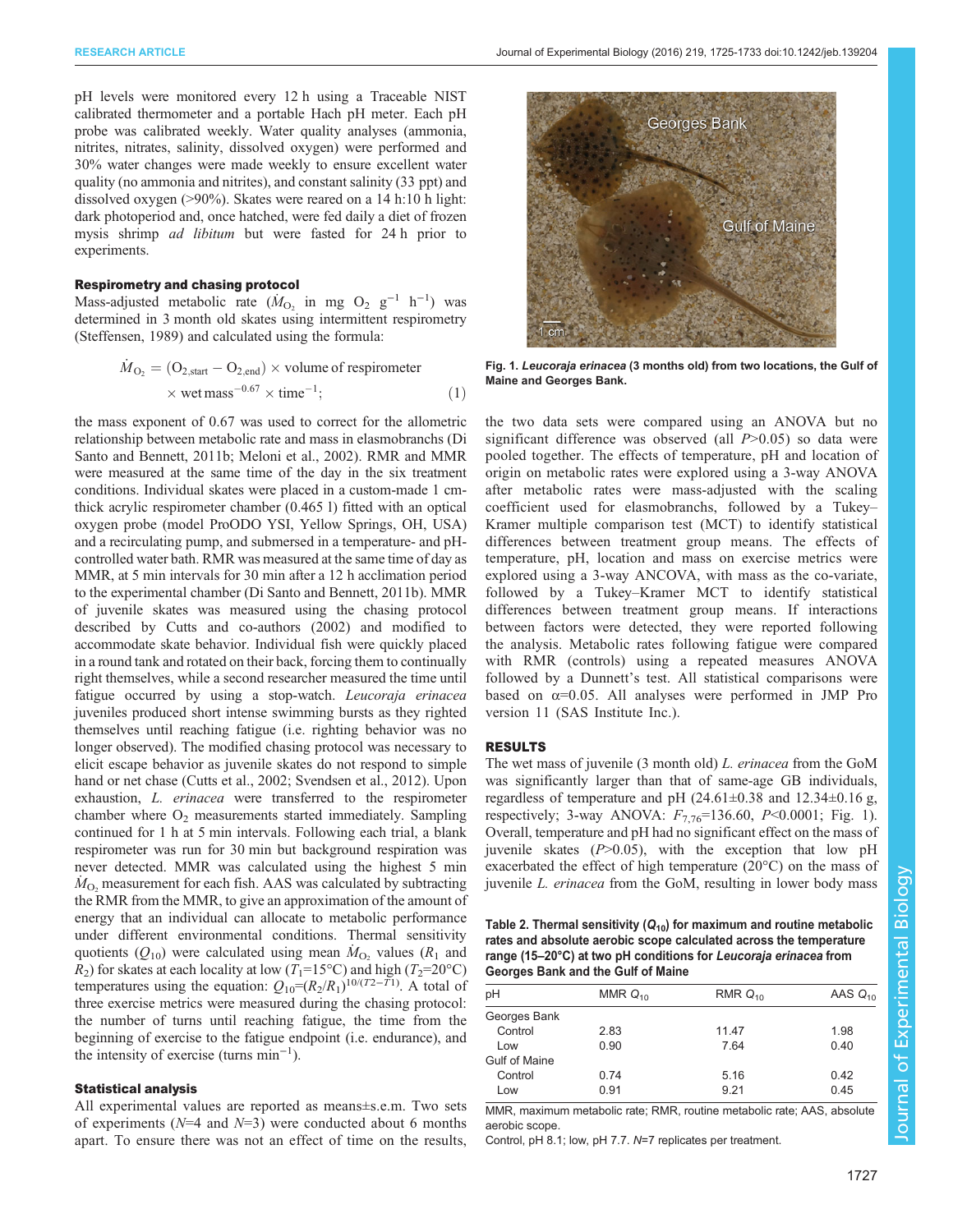<span id="page-2-0"></span>pH levels were monitored every 12 h using a Traceable NIST calibrated thermometer and a portable Hach pH meter. Each pH probe was calibrated weekly. Water quality analyses (ammonia, nitrites, nitrates, salinity, dissolved oxygen) were performed and 30% water changes were made weekly to ensure excellent water quality (no ammonia and nitrites), and constant salinity (33 ppt) and dissolved oxygen (>90%). Skates were reared on a 14 h:10 h light: dark photoperiod and, once hatched, were fed daily a diet of frozen mysis shrimp ad libitum but were fasted for 24 h prior to experiments.

#### Respirometry and chasing protocol

Mass-adjusted metabolic rate ( $\dot{M}_{\text{O}_2}$  in mg O<sub>2</sub> g<sup>-1</sup> h<sup>-1</sup>) was determined in 3 month old skates using intermittent respirometry [\(Steffensen, 1989\)](#page-8-0) and calculated using the formula:

$$
\dot{M}_{\text{O}_2} = (\text{O}_{2,\text{start}} - \text{O}_{2,\text{end}}) \times \text{volume of respirometer}
$$
  
× wet mass<sup>-0.67</sup> × time<sup>-1</sup>; (1)

the mass exponent of 0.67 was used to correct for the allometric relationship between metabolic rate and mass in elasmobranchs ([Di](#page-7-0) [Santo and Bennett, 2011b; Meloni et al., 2002](#page-7-0)). RMR and MMR were measured at the same time of the day in the six treatment conditions. Individual skates were placed in a custom-made 1 cmthick acrylic respirometer chamber (0.465 l) fitted with an optical oxygen probe (model ProODO YSI, Yellow Springs, OH, USA) and a recirculating pump, and submersed in a temperature- and pHcontrolled water bath. RMR was measured at the same time of day as MMR, at 5 min intervals for 30 min after a 12 h acclimation period to the experimental chamber [\(Di Santo and Bennett, 2011b](#page-7-0)). MMR of juvenile skates was measured using the chasing protocol described by [Cutts and co-authors \(2002\)](#page-7-0) and modified to accommodate skate behavior. Individual fish were quickly placed in a round tank and rotated on their back, forcing them to continually right themselves, while a second researcher measured the time until fatigue occurred by using a stop-watch. Leucoraja erinacea juveniles produced short intense swimming bursts as they righted themselves until reaching fatigue (i.e. righting behavior was no longer observed). The modified chasing protocol was necessary to elicit escape behavior as juvenile skates do not respond to simple hand or net chase ([Cutts et al., 2002;](#page-7-0) [Svendsen et al., 2012\)](#page-8-0). Upon exhaustion, L. erinacea were transferred to the respirometer chamber where  $O<sub>2</sub>$  measurements started immediately. Sampling continued for 1 h at 5 min intervals. Following each trial, a blank respirometer was run for 30 min but background respiration was never detected. MMR was calculated using the highest 5 min  $\dot{M}_{\text{O}_2}$  measurement for each fish. AAS was calculated by subtracting the RMR from the MMR, to give an approximation of the amount of energy that an individual can allocate to metabolic performance under different environmental conditions. Thermal sensitivity quotients  $(Q_{10})$  were calculated using mean  $\dot{M}_{O_2}$  values ( $R_1$  and  $R_2$ ) for skates at each locality at low (T<sub>1</sub>=15°C) and high (T<sub>2</sub>=20°C) temperatures using the equation:  $Q_{10} = (R_2/R_1)^{10/(T_2-T_1)}$ . A total of three exercise metrics were measured during the chasing protocol: the number of turns until reaching fatigue, the time from the beginning of exercise to the fatigue endpoint (i.e. endurance), and the intensity of exercise (turns min−<sup>1</sup> ).

#### Statistical analysis

All experimental values are reported as means±s.e.m. Two sets of experiments ( $N=4$  and  $N=3$ ) were conducted about 6 months apart. To ensure there was not an effect of time on the results,



Fig. 1. Leucoraja erinacea (3 months old) from two locations, the Gulf of Maine and Georges Bank.

the two data sets were compared using an ANOVA but no significant difference was observed (all  $P > 0.05$ ) so data were pooled together. The effects of temperature, pH and location of origin on metabolic rates were explored using a 3-way ANOVA after metabolic rates were mass-adjusted with the scaling coefficient used for elasmobranchs, followed by a Tukey– Kramer multiple comparison test (MCT) to identify statistical differences between treatment group means. The effects of temperature, pH, location and mass on exercise metrics were explored using a 3-way ANCOVA, with mass as the co-variate, followed by a Tukey–Kramer MCT to identify statistical differences between treatment group means. If interactions between factors were detected, they were reported following the analysis. Metabolic rates following fatigue were compared with RMR (controls) using a repeated measures ANOVA followed by a Dunnett's test. All statistical comparisons were based on  $\alpha$ =0.05. All analyses were performed in JMP Pro version 11 (SAS Institute Inc.).

#### RESULTS

The wet mass of juvenile (3 month old) L. erinacea from the GoM was significantly larger than that of same-age GB individuals, regardless of temperature and pH  $(24.61\pm0.38$  and  $12.34\pm0.16$  g, respectively; 3-way ANOVA:  $F_{7,76}$ =136.60, P<0.0001; Fig. 1). Overall, temperature and pH had no significant effect on the mass of juvenile skates  $(P>0.05)$ , with the exception that low pH exacerbated the effect of high temperature (20°C) on the mass of juvenile L. erinacea from the GoM, resulting in lower body mass

Table 2. Thermal sensitivity  $(Q_{10})$  for maximum and routine metabolic rates and absolute aerobic scope calculated across the temperature range (15–20°C) at two pH conditions for Leucoraja erinacea from Georges Bank and the Gulf of Maine

| pH                   | MMR $Q_{10}$ | RMR $Q_{10}$ | AAS $Q_{10}$ |
|----------------------|--------------|--------------|--------------|
| Georges Bank         |              |              |              |
| Control              | 2.83         | 11.47        | 1.98         |
| Low                  | 0.90         | 7.64         | 0.40         |
| <b>Gulf of Maine</b> |              |              |              |
| Control              | 0.74         | 5.16         | 0.42         |
| Low                  | 0.91         | 9.21         | 0.45         |
|                      |              |              |              |

MMR, maximum metabolic rate; RMR, routine metabolic rate; AAS, absolute aerobic scope.

Control, pH 8.1; low, pH 7.7. N=7 replicates per treatment.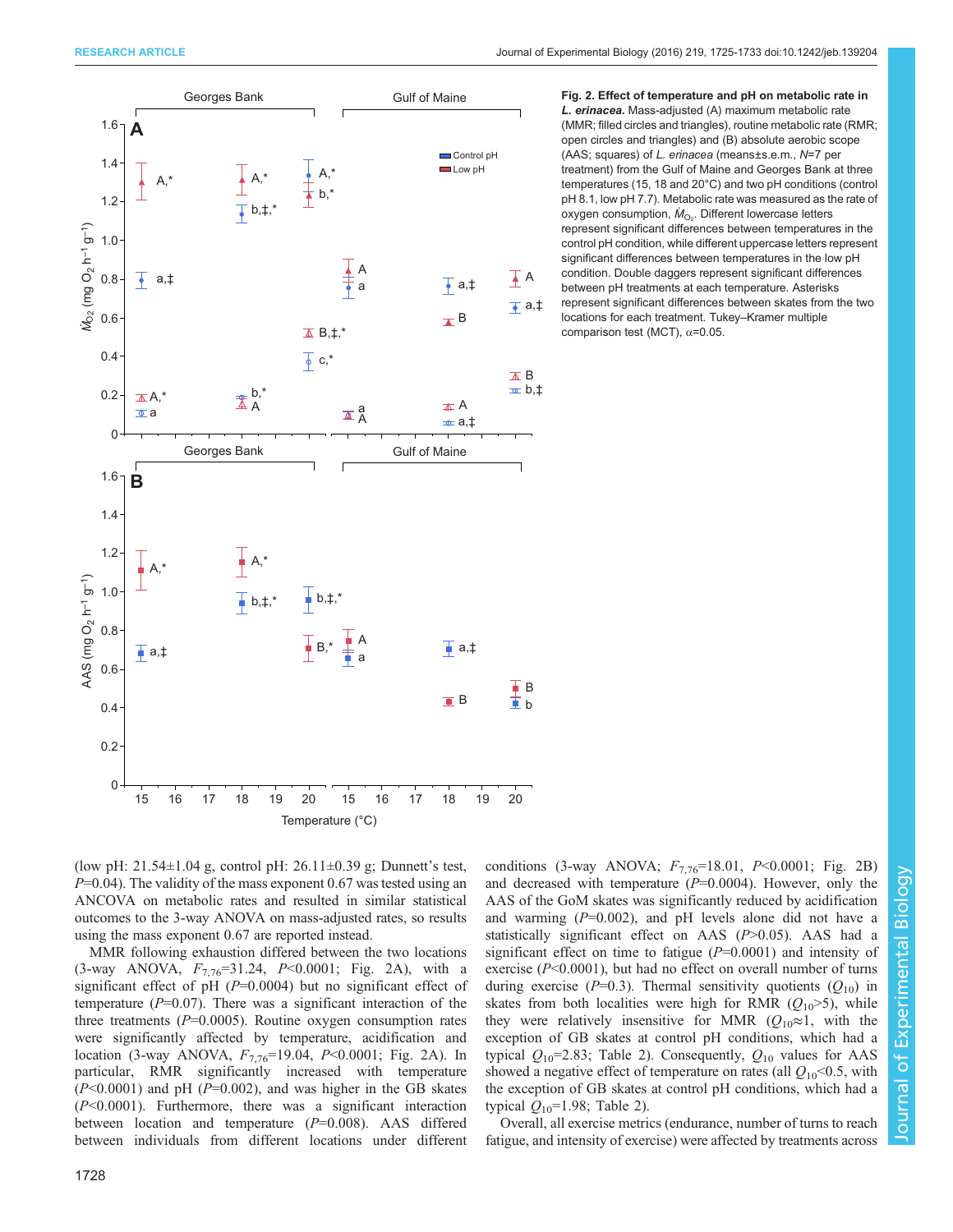<span id="page-3-0"></span>

Fig. 2. Effect of temperature and pH on metabolic rate in L. erinacea. Mass-adjusted (A) maximum metabolic rate (MMR; filled circles and triangles), routine metabolic rate (RMR; open circles and triangles) and (B) absolute aerobic scope (AAS; squares) of L. erinacea (means±s.e.m., N=7 per treatment) from the Gulf of Maine and Georges Bank at three temperatures (15, 18 and 20°C) and two pH conditions (control pH 8.1, low pH 7.7). Metabolic rate was measured as the rate of oxygen consumption,  $\dot{M}_{\rm O_2}$ . Different lowercase letters represent significant differences between temperatures in the control pH condition, while different uppercase letters represent significant differences between temperatures in the low pH condition. Double daggers represent significant differences between pH treatments at each temperature. Asterisks represent significant differences between skates from the two locations for each treatment. Tukey–Kramer multiple comparison test (MCT), α=0.05.

(low pH: 21.54 $\pm$ 1.04 g, control pH: 26.11 $\pm$ 0.39 g; Dunnett's test,  $P=0.04$ ). The validity of the mass exponent 0.67 was tested using an ANCOVA on metabolic rates and resulted in similar statistical outcomes to the 3-way ANOVA on mass-adjusted rates, so results using the mass exponent 0.67 are reported instead.

MMR following exhaustion differed between the two locations (3-way ANOVA,  $F_{7.76}$ =31.24, P<0.0001; Fig. 2A), with a significant effect of pH  $(P=0.0004)$  but no significant effect of temperature  $(P=0.07)$ . There was a significant interaction of the three treatments  $(P=0.0005)$ . Routine oxygen consumption rates were significantly affected by temperature, acidification and location (3-way ANOVA,  $F_{7.76}$ =19.04, P<0.0001; Fig. 2A). In particular, RMR significantly increased with temperature  $(P<0.0001)$  and pH  $(P=0.002)$ , and was higher in the GB skates  $(P<0.0001)$ . Furthermore, there was a significant interaction between location and temperature  $(P=0.008)$ . AAS differed between individuals from different locations under different conditions (3-way ANOVA;  $F_{7,76}$ =18.01, P<0.0001; Fig. 2B) and decreased with temperature  $(P=0.0004)$ . However, only the AAS of the GoM skates was significantly reduced by acidification and warming  $(P=0.002)$ , and pH levels alone did not have a statistically significant effect on AAS  $(P>0.05)$ . AAS had a significant effect on time to fatigue  $(P=0.0001)$  and intensity of exercise  $(P<0.0001)$ , but had no effect on overall number of turns during exercise ( $P=0.3$ ). Thermal sensitivity quotients ( $Q_{10}$ ) in skates from both localities were high for RMR  $(Q_{10} > 5)$ , while they were relatively insensitive for MMR ( $Q_{10} \approx 1$ , with the exception of GB skates at control pH conditions, which had a typical  $Q_{10}$ =2.83; [Table 2](#page-2-0)). Consequently,  $Q_{10}$  values for AAS showed a negative effect of temperature on rates (all  $Q_{10}$  < 0.5, with the exception of GB skates at control pH conditions, which had a typical  $Q_{10}$ =1.98; [Table 2](#page-2-0)).

Overall, all exercise metrics (endurance, number of turns to reach fatigue, and intensity of exercise) were affected by treatments across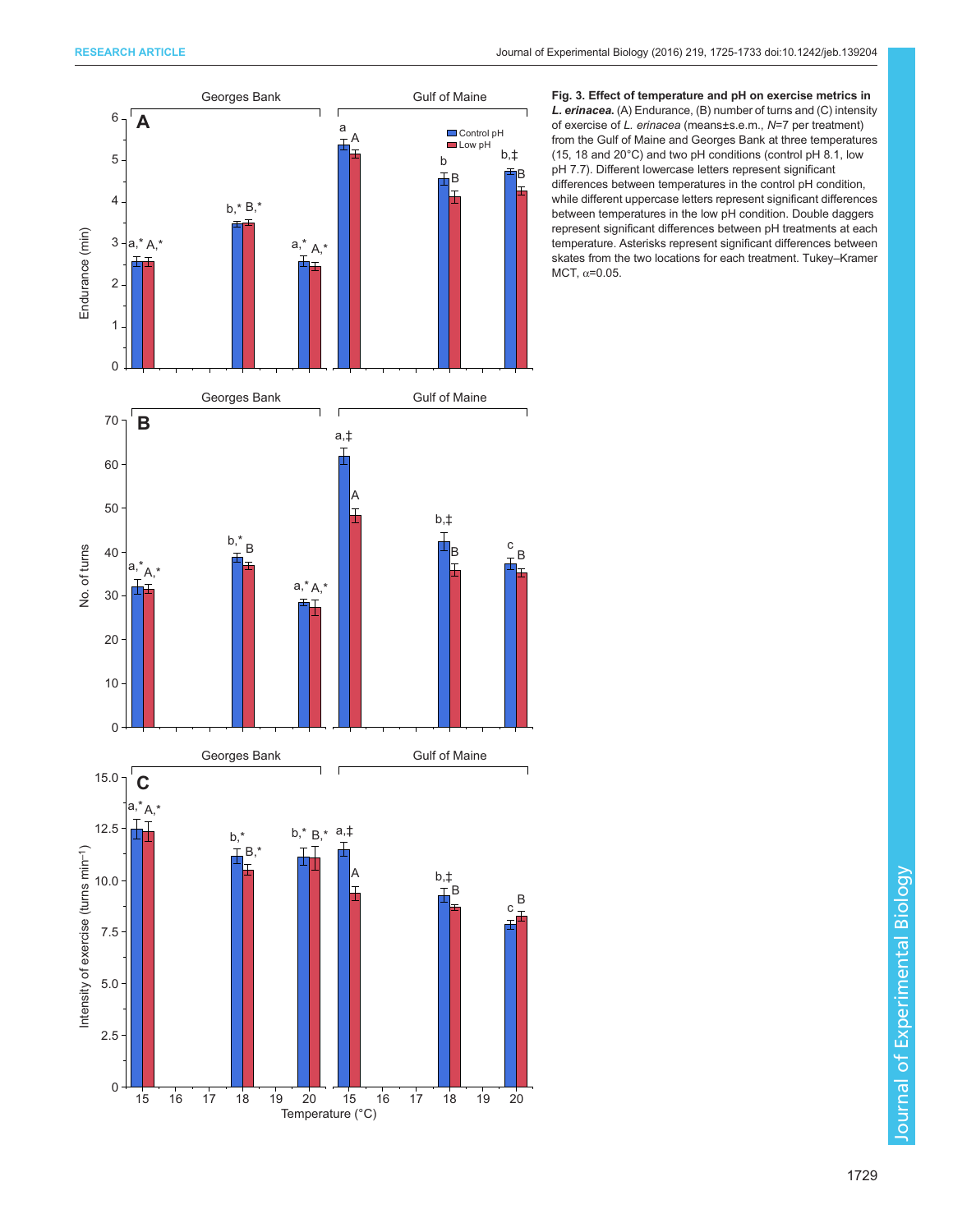<span id="page-4-0"></span>

Fig. 3. Effect of temperature and pH on exercise metrics in L. erinacea. (A) Endurance, (B) number of turns and (C) intensity of exercise of L. erinacea (means±s.e.m., N=7 per treatment) from the Gulf of Maine and Georges Bank at three temperatures (15, 18 and 20°C) and two pH conditions (control pH 8.1, low pH 7.7). Different lowercase letters represent significant differences between temperatures in the control pH condition, while different uppercase letters represent significant differences between temperatures in the low pH condition. Double daggers represent significant differences between pH treatments at each temperature. Asterisks represent significant differences between skates from the two locations for each treatment. Tukey–Kramer MCT,  $\alpha$ =0.05.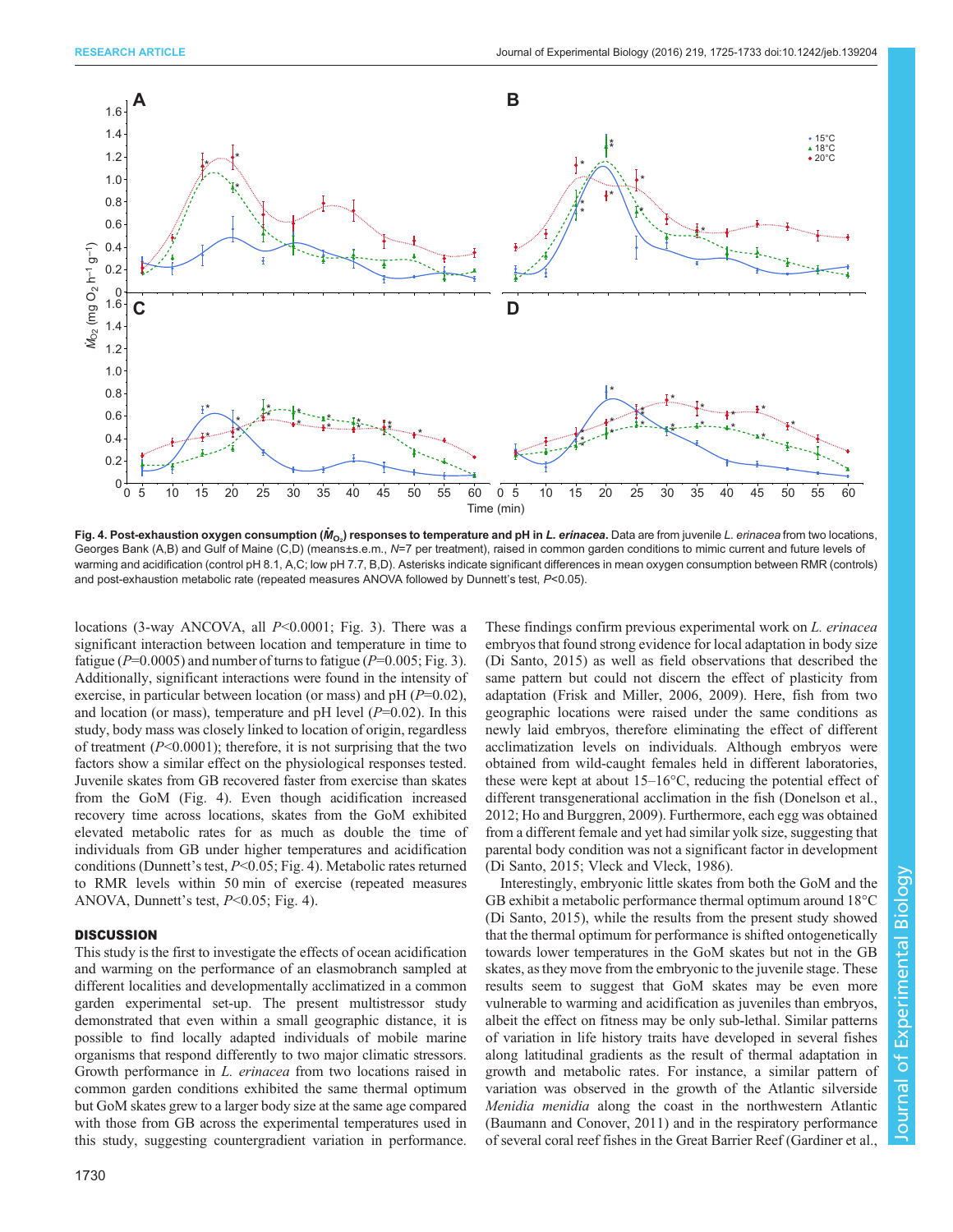

Fig. 4. Post-exhaustion oxygen consumption ( $\dot M_{\rm O_2}$ ) responses to temperature and pH in *L. erinacea*. Data are from juvenile *L. erinacea* from two locations, Georges Bank (A,B) and Gulf of Maine (C,D) (means±s.e.m., N=7 per treatment), raised in common garden conditions to mimic current and future levels of warming and acidification (control pH 8.1, A,C; low pH 7.7, B,D). Asterisks indicate significant differences in mean oxygen consumption between RMR (controls) and post-exhaustion metabolic rate (repeated measures ANOVA followed by Dunnett's test, P<0.05).

locations (3-way ANCOVA, all P<0.0001; [Fig. 3](#page-4-0)). There was a significant interaction between location and temperature in time to fatigue ( $P=0.0005$ ) and number of turns to fatigue ( $P=0.005$ ; [Fig. 3\)](#page-4-0). Additionally, significant interactions were found in the intensity of exercise, in particular between location (or mass) and pH  $(P=0.02)$ , and location (or mass), temperature and pH level  $(P=0.02)$ . In this study, body mass was closely linked to location of origin, regardless of treatment  $(P<0.0001)$ ; therefore, it is not surprising that the two factors show a similar effect on the physiological responses tested. Juvenile skates from GB recovered faster from exercise than skates from the GoM (Fig. 4). Even though acidification increased recovery time across locations, skates from the GoM exhibited elevated metabolic rates for as much as double the time of individuals from GB under higher temperatures and acidification conditions (Dunnett's test, P<0.05; Fig. 4). Metabolic rates returned to RMR levels within 50 min of exercise (repeated measures ANOVA, Dunnett's test, P<0.05; Fig. 4).

#### **DISCUSSION**

This study is the first to investigate the effects of ocean acidification and warming on the performance of an elasmobranch sampled at different localities and developmentally acclimatized in a common garden experimental set-up. The present multistressor study demonstrated that even within a small geographic distance, it is possible to find locally adapted individuals of mobile marine organisms that respond differently to two major climatic stressors. Growth performance in L. erinacea from two locations raised in common garden conditions exhibited the same thermal optimum but GoM skates grew to a larger body size at the same age compared with those from GB across the experimental temperatures used in this study, suggesting countergradient variation in performance.

1730

These findings confirm previous experimental work on L. erinacea embryos that found strong evidence for local adaptation in body size [\(Di Santo, 2015\)](#page-7-0) as well as field observations that described the same pattern but could not discern the effect of plasticity from adaptation [\(Frisk and Miller, 2006](#page-7-0), [2009\)](#page-7-0). Here, fish from two geographic locations were raised under the same conditions as newly laid embryos, therefore eliminating the effect of different acclimatization levels on individuals. Although embryos were obtained from wild-caught females held in different laboratories, these were kept at about 15–16°C, reducing the potential effect of different transgenerational acclimation in the fish ([Donelson et al.,](#page-7-0) [2012; Ho and Burggren, 2009\)](#page-7-0). Furthermore, each egg was obtained from a different female and yet had similar yolk size, suggesting that parental body condition was not a significant factor in development [\(Di Santo, 2015;](#page-7-0) [Vleck and Vleck, 1986\)](#page-8-0).

Interestingly, embryonic little skates from both the GoM and the GB exhibit a metabolic performance thermal optimum around 18°C [\(Di Santo, 2015](#page-7-0)), while the results from the present study showed that the thermal optimum for performance is shifted ontogenetically towards lower temperatures in the GoM skates but not in the GB skates, as they move from the embryonic to the juvenile stage. These results seem to suggest that GoM skates may be even more vulnerable to warming and acidification as juveniles than embryos, albeit the effect on fitness may be only sub-lethal. Similar patterns of variation in life history traits have developed in several fishes along latitudinal gradients as the result of thermal adaptation in growth and metabolic rates. For instance, a similar pattern of variation was observed in the growth of the Atlantic silverside Menidia menidia along the coast in the northwestern Atlantic [\(Baumann and Conover, 2011\)](#page-7-0) and in the respiratory performance of several coral reef fishes in the Great Barrier Reef [\(Gardiner et al.,](#page-7-0)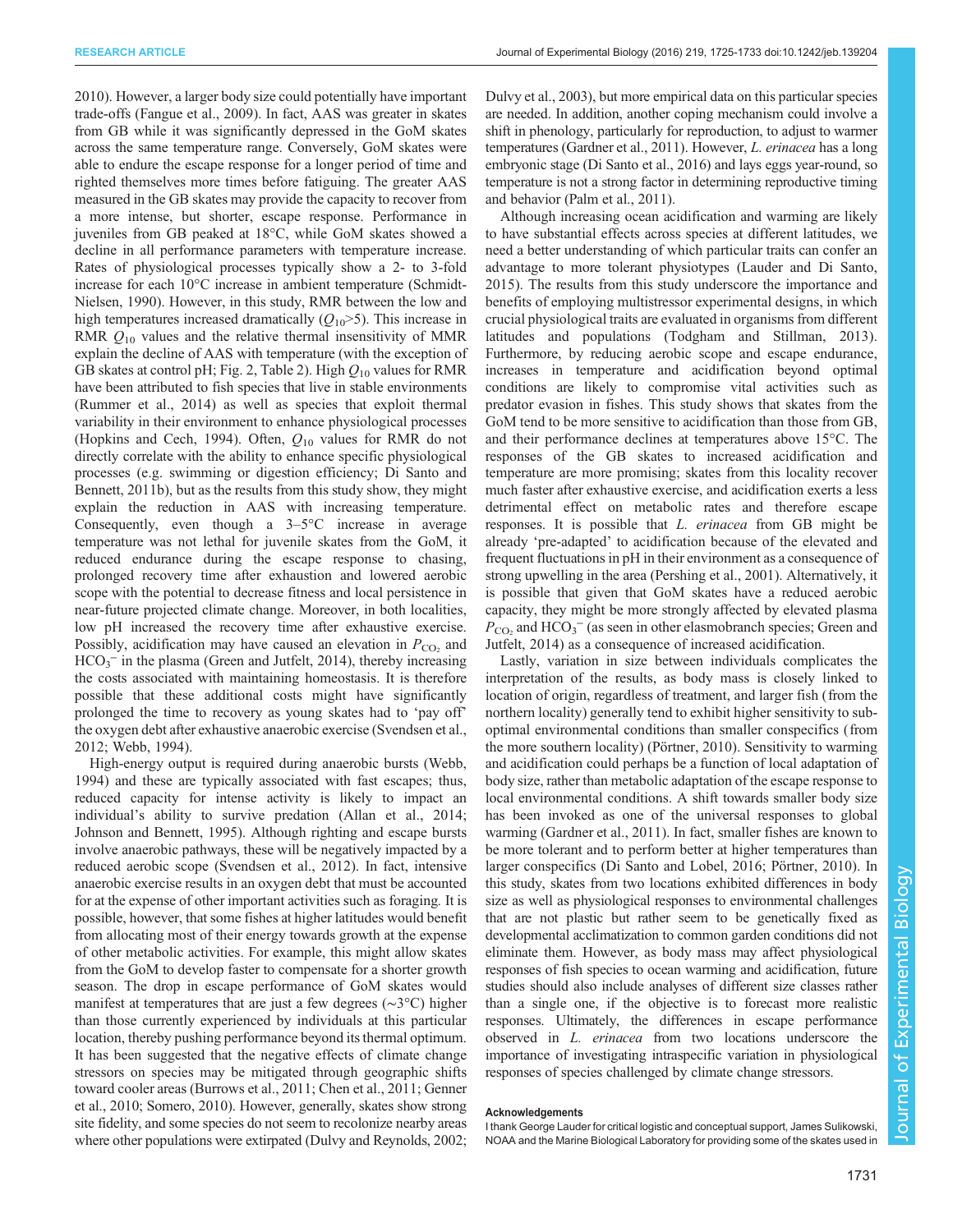[2010](#page-7-0)). However, a larger body size could potentially have important trade-offs ([Fangue et al., 2009\)](#page-7-0). In fact, AAS was greater in skates from GB while it was significantly depressed in the GoM skates across the same temperature range. Conversely, GoM skates were able to endure the escape response for a longer period of time and righted themselves more times before fatiguing. The greater AAS measured in the GB skates may provide the capacity to recover from a more intense, but shorter, escape response. Performance in juveniles from GB peaked at 18°C, while GoM skates showed a decline in all performance parameters with temperature increase. Rates of physiological processes typically show a 2- to 3-fold increase for each 10°C increase in ambient temperature [\(Schmidt-](#page-8-0)[Nielsen, 1990\)](#page-8-0). However, in this study, RMR between the low and high temperatures increased dramatically  $(Q_{10} > 5)$ . This increase in RMR  $Q_{10}$  values and the relative thermal insensitivity of MMR explain the decline of AAS with temperature (with the exception of GB skates at control pH; [Fig. 2](#page-3-0), [Table 2](#page-2-0)). High  $Q_{10}$  values for RMR have been attributed to fish species that live in stable environments [\(Rummer et al., 2014\)](#page-8-0) as well as species that exploit thermal variability in their environment to enhance physiological processes [\(Hopkins and Cech, 1994\)](#page-7-0). Often,  $Q_{10}$  values for RMR do not directly correlate with the ability to enhance specific physiological processes (e.g. swimming or digestion efficiency; [Di Santo and](#page-7-0) [Bennett, 2011b\)](#page-7-0), but as the results from this study show, they might explain the reduction in AAS with increasing temperature. Consequently, even though a  $3-5$ °C increase in average temperature was not lethal for juvenile skates from the GoM, it reduced endurance during the escape response to chasing, prolonged recovery time after exhaustion and lowered aerobic scope with the potential to decrease fitness and local persistence in near-future projected climate change. Moreover, in both localities, low pH increased the recovery time after exhaustive exercise. Possibly, acidification may have caused an elevation in  $P_{\text{CO}_2}$  and  $HCO<sub>3</sub><sup>-</sup>$  in the plasma [\(Green and Jutfelt, 2014\)](#page-7-0), thereby increasing the costs associated with maintaining homeostasis. It is therefore possible that these additional costs might have significantly prolonged the time to recovery as young skates had to 'pay off' the oxygen debt after exhaustive anaerobic exercise [\(Svendsen et al.,](#page-8-0) [2012](#page-8-0); [Webb, 1994\)](#page-8-0).

High-energy output is required during anaerobic bursts [\(Webb,](#page-8-0) [1994](#page-8-0)) and these are typically associated with fast escapes; thus, reduced capacity for intense activity is likely to impact an individual's ability to survive predation ([Allan et al., 2014](#page-7-0); [Johnson and Bennett, 1995\)](#page-7-0). Although righting and escape bursts involve anaerobic pathways, these will be negatively impacted by a reduced aerobic scope ([Svendsen et al., 2012\)](#page-8-0). In fact, intensive anaerobic exercise results in an oxygen debt that must be accounted for at the expense of other important activities such as foraging. It is possible, however, that some fishes at higher latitudes would benefit from allocating most of their energy towards growth at the expense of other metabolic activities. For example, this might allow skates from the GoM to develop faster to compensate for a shorter growth season. The drop in escape performance of GoM skates would manifest at temperatures that are just a few degrees (∼3°C) higher than those currently experienced by individuals at this particular location, thereby pushing performance beyond its thermal optimum. It has been suggested that the negative effects of climate change stressors on species may be mitigated through geographic shifts toward cooler areas [\(Burrows et al., 2011](#page-7-0); [Chen et al., 2011](#page-7-0); [Genner](#page-7-0) [et al., 2010](#page-7-0); [Somero, 2010](#page-8-0)). However, generally, skates show strong site fidelity, and some species do not seem to recolonize nearby areas where other populations were extirpated [\(Dulvy and Reynolds, 2002](#page-7-0);

Dulvy et al., 2003), but more empirical data on this particular species are needed. In addition, another coping mechanism could involve a shift in phenology, particularly for reproduction, to adjust to warmer temperatures [\(Gardner et al., 2011](#page-7-0)). However, L. erinacea has a long embryonic stage ([Di Santo et al., 2016\)](#page-7-0) and lays eggs year-round, so temperature is not a strong factor in determining reproductive timing and behavior ([Palm et al., 2011\)](#page-8-0).

Although increasing ocean acidification and warming are likely to have substantial effects across species at different latitudes, we need a better understanding of which particular traits can confer an advantage to more tolerant physiotypes ([Lauder and Di Santo,](#page-7-0) [2015\)](#page-7-0). The results from this study underscore the importance and benefits of employing multistressor experimental designs, in which crucial physiological traits are evaluated in organisms from different latitudes and populations ([Todgham and Stillman, 2013\)](#page-8-0). Furthermore, by reducing aerobic scope and escape endurance, increases in temperature and acidification beyond optimal conditions are likely to compromise vital activities such as predator evasion in fishes. This study shows that skates from the GoM tend to be more sensitive to acidification than those from GB, and their performance declines at temperatures above 15°C. The responses of the GB skates to increased acidification and temperature are more promising; skates from this locality recover much faster after exhaustive exercise, and acidification exerts a less detrimental effect on metabolic rates and therefore escape responses. It is possible that L. erinacea from GB might be already 'pre-adapted' to acidification because of the elevated and frequent fluctuations in pH in their environment as a consequence of strong upwelling in the area [\(Pershing et al., 2001\)](#page-8-0). Alternatively, it is possible that given that GoM skates have a reduced aerobic capacity, they might be more strongly affected by elevated plasma  $P_{\text{CO}_2}$  and HCO<sub>3</sub><sup>-</sup> (as seen in other elasmobranch species; [Green and](#page-7-0) [Jutfelt, 2014](#page-7-0)) as a consequence of increased acidification.

Lastly, variation in size between individuals complicates the interpretation of the results, as body mass is closely linked to location of origin, regardless of treatment, and larger fish (from the northern locality) generally tend to exhibit higher sensitivity to suboptimal environmental conditions than smaller conspecifics (from the more southern locality) (Pörtner, 2010). Sensitivity to warming and acidification could perhaps be a function of local adaptation of body size, rather than metabolic adaptation of the escape response to local environmental conditions. A shift towards smaller body size has been invoked as one of the universal responses to global warming ([Gardner et al., 2011](#page-7-0)). In fact, smaller fishes are known to be more tolerant and to perform better at higher temperatures than larger conspecifics [\(Di Santo and Lobel, 2016;](#page-7-0) Pörtner, 2010). In this study, skates from two locations exhibited differences in body size as well as physiological responses to environmental challenges that are not plastic but rather seem to be genetically fixed as developmental acclimatization to common garden conditions did not eliminate them. However, as body mass may affect physiological responses of fish species to ocean warming and acidification, future studies should also include analyses of different size classes rather than a single one, if the objective is to forecast more realistic responses. Ultimately, the differences in escape performance observed in L. erinacea from two locations underscore the importance of investigating intraspecific variation in physiological responses of species challenged by climate change stressors.

#### Acknowledgements

I thank George Lauder for critical logistic and conceptual support, James Sulikowski, NOAA and the Marine Biological Laboratory for providing some of the skates used in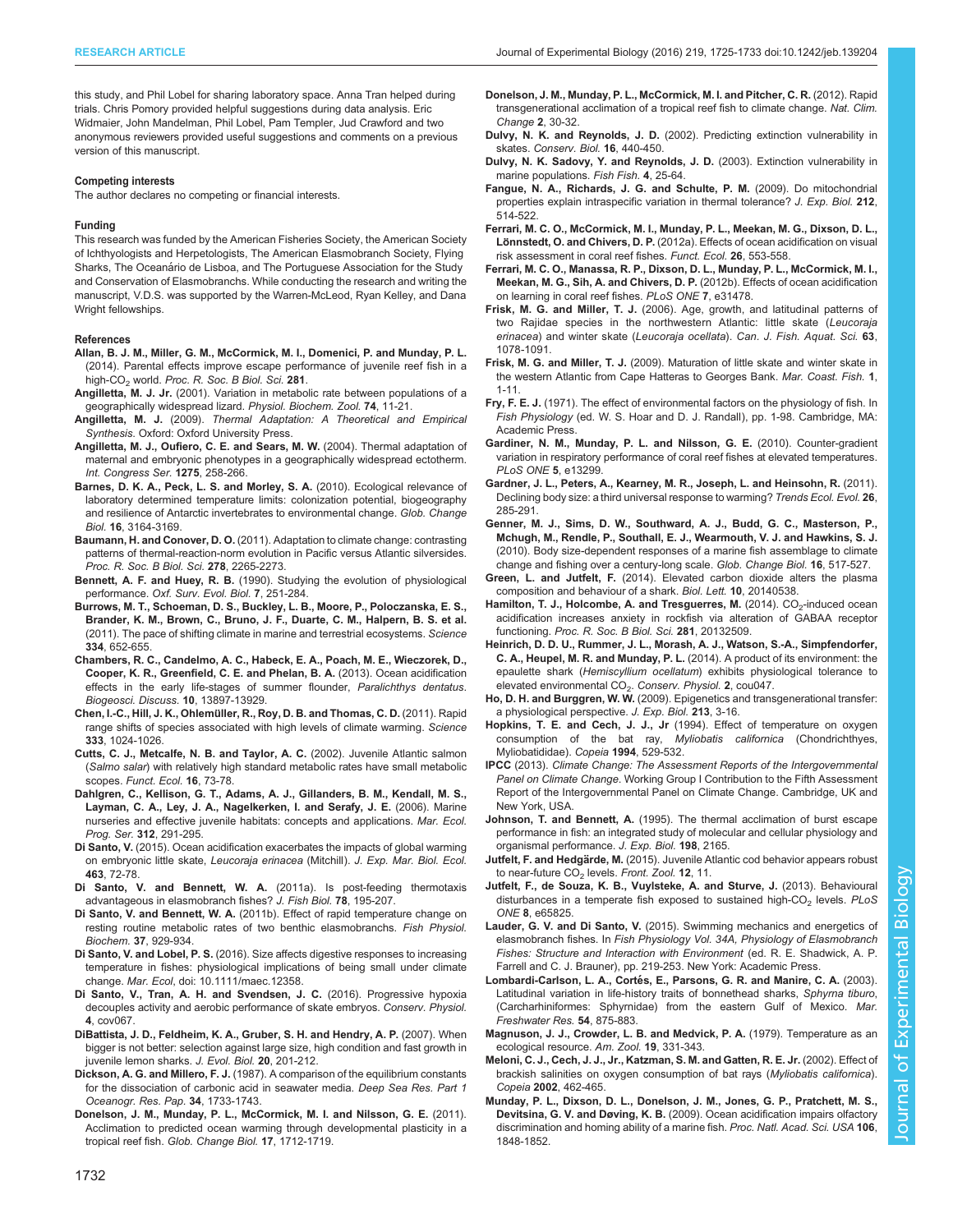<span id="page-7-0"></span>this study, and Phil Lobel for sharing laboratory space. Anna Tran helped during trials. Chris Pomory provided helpful suggestions during data analysis. Eric Widmaier, John Mandelman, Phil Lobel, Pam Templer, Jud Crawford and two anonymous reviewers provided useful suggestions and comments on a previous version of this manuscript.

#### Competing interests

The author declares no competing or financial interests.

#### Funding

This research was funded by the American Fisheries Society, the American Society of Ichthyologists and Herpetologists, The American Elasmobranch Society, Flying Sharks, The Oceanário de Lisboa, and The Portuguese Association for the Study and Conservation of Elasmobranchs. While conducting the research and writing the manuscript, V.D.S. was supported by the Warren-McLeod, Ryan Kelley, and Dana Wright fellowships.

#### References

- [Allan, B. J. M., Miller, G. M., McCormick, M. I., Domenici, P. and Munday, P. L.](http://dx.doi.org/10.1098/rspb.2013.2179) [\(2014\). Parental effects improve escape performance of juvenile reef fish in a](http://dx.doi.org/10.1098/rspb.2013.2179) high-CO<sub>2</sub> world. [Proc. R. Soc. B Biol. Sci.](http://dx.doi.org/10.1098/rspb.2013.2179) 281.
- Angilletta, M. J. Jr. [\(2001\). Variation in metabolic rate between populations of a](http://dx.doi.org/10.1086/319312) [geographically widespread lizard.](http://dx.doi.org/10.1086/319312) Physiol. Biochem. Zool. 74, 11-21.
- Angilletta, M. J. (2009). Thermal Adaptation: A Theoretical and Empirical Synthesis. Oxford: Oxford University Press.
- [Angilletta, M. J., Oufiero, C. E. and Sears, M. W.](http://dx.doi.org/10.1016/j.ics.2004.07.038) (2004). Thermal adaptation of [maternal and embryonic phenotypes in a geographically widespread ectotherm.](http://dx.doi.org/10.1016/j.ics.2004.07.038) [Int. Congress Ser.](http://dx.doi.org/10.1016/j.ics.2004.07.038) 1275, 258-266.
- [Barnes, D. K. A., Peck, L. S. and Morley, S. A.](http://dx.doi.org/10.1111/j.1365-2486.2010.02176.x) (2010). Ecological relevance of [laboratory determined temperature limits: colonization potential, biogeography](http://dx.doi.org/10.1111/j.1365-2486.2010.02176.x) [and resilience of Antarctic invertebrates to environmental change.](http://dx.doi.org/10.1111/j.1365-2486.2010.02176.x) Glob. Change Biol. 16[, 3164-3169.](http://dx.doi.org/10.1111/j.1365-2486.2010.02176.x)
- Baumann, H. and Conover, D. O. [\(2011\). Adaptation to climate change: contrasting](http://dx.doi.org/10.1098/rspb.2010.2479) [patterns of thermal-reaction-norm evolution in Pacific versus Atlantic silversides.](http://dx.doi.org/10.1098/rspb.2010.2479) [Proc. R. Soc. B Biol. Sci.](http://dx.doi.org/10.1098/rspb.2010.2479) 278, 2265-2273.
- Bennett, A. F. and Huey, R. B. (1990). Studying the evolution of physiological performance. Oxf. Surv. Evol. Biol. 7, 251-284.
- [Burrows, M. T., Schoeman, D. S., Buckley, L. B., Moore, P., Poloczanska, E. S.,](http://dx.doi.org/10.1126/science.1210288) [Brander, K. M., Brown, C., Bruno, J. F., Duarte, C. M., Halpern, B. S. et al.](http://dx.doi.org/10.1126/science.1210288) [\(2011\). The pace of shifting climate in marine and terrestrial ecosystems.](http://dx.doi.org/10.1126/science.1210288) Science 334[, 652-655.](http://dx.doi.org/10.1126/science.1210288)
- [Chambers, R. C., Candelmo, A. C., Habeck, E. A., Poach, M. E., Wieczorek, D.,](http://dx.doi.org/10.5194/bgd-10-13897-2013) [Cooper, K. R., Greenfield, C. E. and Phelan, B. A.](http://dx.doi.org/10.5194/bgd-10-13897-2013) (2013). Ocean acidification [effects in the early life-stages of summer flounder,](http://dx.doi.org/10.5194/bgd-10-13897-2013) Paralichthys dentatus. [Biogeosci. Discuss.](http://dx.doi.org/10.5194/bgd-10-13897-2013) 10, 13897-13929.
- Chen, I.-C., Hill, J. K., Ohlemü[ller, R., Roy, D. B. and Thomas, C. D.](http://dx.doi.org/10.1126/science.1206432) (2011). Rapid [range shifts of species associated with high levels of climate warming.](http://dx.doi.org/10.1126/science.1206432) Science 333[, 1024-1026.](http://dx.doi.org/10.1126/science.1206432)
- [Cutts, C. J., Metcalfe, N. B. and Taylor, A. C.](http://dx.doi.org/10.1046/j.0269-8463.2001.00603.x) (2002). Juvenile Atlantic salmon (Salmo salar[\) with relatively high standard metabolic rates have small metabolic](http://dx.doi.org/10.1046/j.0269-8463.2001.00603.x) scopes. [Funct. Ecol.](http://dx.doi.org/10.1046/j.0269-8463.2001.00603.x) 16, 73-78.
- [Dahlgren, C., Kellison, G. T., Adams, A. J., Gillanders, B. M., Kendall, M. S.,](http://dx.doi.org/10.3354/meps312291) [Layman, C. A., Ley, J. A., Nagelkerken, I. and Serafy, J. E.](http://dx.doi.org/10.3354/meps312291) (2006). Marine [nurseries and effective juvenile habitats: concepts and applications.](http://dx.doi.org/10.3354/meps312291) Mar. Ecol. Prog. Ser. 312[, 291-295.](http://dx.doi.org/10.3354/meps312291)
- Di Santo, V. [\(2015\). Ocean acidification exacerbates the impacts of global warming](http://dx.doi.org/10.1016/j.jembe.2014.11.006) [on embryonic little skate,](http://dx.doi.org/10.1016/j.jembe.2014.11.006) Leucoraja erinacea (Mitchill). J. Exp. Mar. Biol. Ecol. 463[, 72-78.](http://dx.doi.org/10.1016/j.jembe.2014.11.006)
- [Di Santo, V. and Bennett, W. A.](http://dx.doi.org/10.1111/j.1095-8649.2010.02853.x) (2011a). Is post-feeding thermotaxis [advantageous in elasmobranch fishes?](http://dx.doi.org/10.1111/j.1095-8649.2010.02853.x) J. Fish Biol. 78, 195-207.
- Di Santo, V. and Bennett, W. A. [\(2011b\). Effect of rapid temperature change on](http://dx.doi.org/10.1007/s10695-011-9490-3) [resting routine metabolic rates of two benthic elasmobranchs.](http://dx.doi.org/10.1007/s10695-011-9490-3) Fish Physiol. Biochem. 37[, 929-934.](http://dx.doi.org/10.1007/s10695-011-9490-3)
- Di Santo, V. and Lobel, P. S. [\(2016\). Size affects digestive responses to increasing](http://dx.doi.org/10.1111/maec.12358) [temperature in fishes: physiological implications of being small under climate](http://dx.doi.org/10.1111/maec.12358) change. Mar. Ecol[, doi: 10.1111/maec.12358.](http://dx.doi.org/10.1111/maec.12358)
- [Di Santo, V., Tran, A. H. and Svendsen, J. C.](http://dx.doi.org/10.1093/conphys/cov067) (2016). Progressive hypoxia [decouples activity and aerobic performance of skate embryos.](http://dx.doi.org/10.1093/conphys/cov067) Conserv. Physiol. 4[, cov067.](http://dx.doi.org/10.1093/conphys/cov067)
- [DiBattista, J. D., Feldheim, K. A., Gruber, S. H. and Hendry, A. P.](http://dx.doi.org/10.1111/j.1420-9101.2006.01210.x) (2007). When [bigger is not better: selection against large size, high condition and fast growth in](http://dx.doi.org/10.1111/j.1420-9101.2006.01210.x) [juvenile lemon sharks.](http://dx.doi.org/10.1111/j.1420-9101.2006.01210.x) J. Evol. Biol. 20, 201-212.
- Dickson, A. G. and Millero, F. J. [\(1987\). A comparison of the equilibrium constants](http://dx.doi.org/10.1016/0198-0149(87)90021-5) [for the dissociation of carbonic acid in seawater media.](http://dx.doi.org/10.1016/0198-0149(87)90021-5) Deep Sea Res. Part 1 [Oceanogr. Res. Pap.](http://dx.doi.org/10.1016/0198-0149(87)90021-5) 34, 1733-1743.
- [Donelson, J. M., Munday, P. L., McCormick, M. I. and Nilsson, G. E.](http://dx.doi.org/10.1111/j.1365-2486.2010.02339.x) (2011). [Acclimation to predicted ocean warming through developmental plasticity in a](http://dx.doi.org/10.1111/j.1365-2486.2010.02339.x) tropical reef fish. [Glob. Change Biol.](http://dx.doi.org/10.1111/j.1365-2486.2010.02339.x) 17, 1712-1719.
- [Donelson, J. M., Munday, P. L., McCormick, M. I. and Pitcher, C. R.](http://dx.doi.org/10.1038/nclimate1323) (2012). Rapid [transgenerational acclimation of a tropical reef fish to climate change.](http://dx.doi.org/10.1038/nclimate1323) Nat. Clim. [Change](http://dx.doi.org/10.1038/nclimate1323) 2, 30-32.
- Dulvy, N. K. and Reynolds, J. D. [\(2002\). Predicting extinction vulnerability in](http://dx.doi.org/10.1046/j.1523-1739.2002.00416.x) skates. [Conserv. Biol.](http://dx.doi.org/10.1046/j.1523-1739.2002.00416.x) 16, 440-450.
- [Dulvy, N. K. Sadovy, Y. and Reynolds, J. D.](http://dx.doi.org/10.1046/j.1467-2979.2003.00105.x) (2003). Extinction vulnerability in [marine populations.](http://dx.doi.org/10.1046/j.1467-2979.2003.00105.x) Fish Fish. 4, 25-64.
- [Fangue, N. A., Richards, J. G. and Schulte, P. M.](http://dx.doi.org/10.1242/jeb.024034) (2009). Do mitochondrial [properties explain intraspecific variation in thermal tolerance?](http://dx.doi.org/10.1242/jeb.024034) J. Exp. Biol. 212, [514-522.](http://dx.doi.org/10.1242/jeb.024034)
- [Ferrari, M. C. O., McCormick, M. I., Munday, P. L., Meekan, M. G., Dixson, D. L.,](http://dx.doi.org/10.1111/j.1365-2435.2011.01951.x) Lönnstedt, O. and Chivers, D. P. [\(2012a\). Effects of ocean acidification on visual](http://dx.doi.org/10.1111/j.1365-2435.2011.01951.x) [risk assessment in coral reef fishes.](http://dx.doi.org/10.1111/j.1365-2435.2011.01951.x) Funct. Ecol. 26, 553-558.
- [Ferrari, M. C. O., Manassa, R. P., Dixson, D. L., Munday, P. L., McCormick, M. I.,](http://dx.doi.org/10.1371/journal.pone.0031478) [Meekan, M. G., Sih, A. and Chivers, D. P.](http://dx.doi.org/10.1371/journal.pone.0031478) (2012b). Effects of ocean acidification [on learning in coral reef fishes.](http://dx.doi.org/10.1371/journal.pone.0031478) PLoS ONE 7, e31478.
- Frisk, M. G. and Miller, T. J. [\(2006\). Age, growth, and latitudinal patterns of](http://dx.doi.org/10.1139/f06-005) [two Rajidae species in the northwestern Atlantic: little skate \(](http://dx.doi.org/10.1139/f06-005)Leucoraja erinacea) and winter skate (Leucoraja ocellata). [Can. J. Fish. Aquat. Sci.](http://dx.doi.org/10.1139/f06-005) 63, [1078-1091.](http://dx.doi.org/10.1139/f06-005)
- Frisk, M. G. and Miller, T. J. [\(2009\). Maturation of little skate and winter skate in](http://dx.doi.org/10.1577/C08-014.1) [the western Atlantic from Cape Hatteras to Georges Bank.](http://dx.doi.org/10.1577/C08-014.1) Mar. Coast. Fish. 1, [1-11.](http://dx.doi.org/10.1577/C08-014.1)
- Fry, F. E. J. (1971). The effect of environmental factors on the physiology of fish. In Fish Physiology (ed. W. S. Hoar and D. J. Randall), pp. 1-98. Cambridge, MA: Academic Press.
- [Gardiner, N. M., Munday, P. L. and Nilsson, G. E.](http://dx.doi.org/10.1371/journal.pone.0013299) (2010). Counter-gradient [variation in respiratory performance of coral reef fishes at elevated temperatures.](http://dx.doi.org/10.1371/journal.pone.0013299) [PLoS ONE](http://dx.doi.org/10.1371/journal.pone.0013299) 5, e13299.
- [Gardner, J. L., Peters, A., Kearney, M. R., Joseph, L. and Heinsohn, R.](http://dx.doi.org/10.1016/j.tree.2011.03.005) (2011). [Declining body size: a third universal response to warming?](http://dx.doi.org/10.1016/j.tree.2011.03.005) Trends Ecol. Evol. 26, [285-291.](http://dx.doi.org/10.1016/j.tree.2011.03.005)
- [Genner, M. J., Sims, D. W., Southward, A. J., Budd, G. C., Masterson, P.,](http://dx.doi.org/10.1111/j.1365-2486.2009.02027.x) [Mchugh, M., Rendle, P., Southall, E. J., Wearmouth, V. J. and Hawkins, S. J.](http://dx.doi.org/10.1111/j.1365-2486.2009.02027.x) [\(2010\). Body size-dependent responses of a marine fish assemblage to climate](http://dx.doi.org/10.1111/j.1365-2486.2009.02027.x) [change and fishing over a century-long scale.](http://dx.doi.org/10.1111/j.1365-2486.2009.02027.x) Glob. Change Biol. 16, 517-527.
- Green, L. and Jutfelt, F. [\(2014\). Elevated carbon dioxide alters the plasma](http://dx.doi.org/10.1098/rsbl.2014.0538) [composition and behaviour of a shark.](http://dx.doi.org/10.1098/rsbl.2014.0538) Biol. Lett. 10, 20140538.
- [Hamilton, T. J., Holcombe, A. and Tresguerres, M.](http://dx.doi.org/10.1098/rspb.2013.2509) (2014). CO<sub>2</sub>-induced ocean [acidification increases anxiety in rockfish via alteration of GABAA receptor](http://dx.doi.org/10.1098/rspb.2013.2509) functioning. [Proc. R. Soc. B Biol. Sci.](http://dx.doi.org/10.1098/rspb.2013.2509) 281, 20132509.
- [Heinrich, D. D. U., Rummer, J. L., Morash, A. J., Watson, S.-A., Simpfendorfer,](http://dx.doi.org/10.1093/conphys/cou047) C. A., Heupel, M. R. and Munday, P. L. [\(2014\). A product of its environment: the](http://dx.doi.org/10.1093/conphys/cou047) epaulette shark (Hemiscyllium ocellatum[\) exhibits physiological tolerance to](http://dx.doi.org/10.1093/conphys/cou047) elevated environmental CO<sub>2</sub>. [Conserv. Physiol.](http://dx.doi.org/10.1093/conphys/cou047) 2, cou047.
- Ho, D. H. and Burggren, W. W. [\(2009\). Epigenetics and transgenerational transfer:](http://dx.doi.org/10.1242/jeb.019752) [a physiological perspective.](http://dx.doi.org/10.1242/jeb.019752) J. Exp. Biol. 213, 3-16.
- Hopkins, T. E. and Cech, J. J., Jr [\(1994\). Effect of temperature on oxygen](http://dx.doi.org/10.2307/1447005) [consumption of the bat ray,](http://dx.doi.org/10.2307/1447005) Myliobatis californica (Chondrichthyes, [Myliobatididae\).](http://dx.doi.org/10.2307/1447005) Copeia 1994, 529-532.
- IPCC (2013). Climate Change: The Assessment Reports of the Intergovernmental Panel on Climate Change. Working Group I Contribution to the Fifth Assessment Report of the Intergovernmental Panel on Climate Change. Cambridge, UK and New York, USA.
- Johnson, T. and Bennett, A. (1995). The thermal acclimation of burst escape performance in fish: an integrated study of molecular and cellular physiology and organismal performance. J. Exp. Biol. 198, 2165.
- Jutfelt, F. and Hedgärde, M. [\(2015\). Juvenile Atlantic cod behavior appears robust](http://dx.doi.org/10.1186/s12983-015-0104-2) to near-future  $CO<sub>2</sub>$  levels. [Front. Zool.](http://dx.doi.org/10.1186/s12983-015-0104-2) 12, 11.
- [Jutfelt, F., de Souza, K. B., Vuylsteke, A. and Sturve, J.](http://dx.doi.org/10.1371/journal.pone.0065825) (2013). Behavioural disturbances in a temperate fish exposed to sustained high-CO<sub>2</sub> [levels.](http://dx.doi.org/10.1371/journal.pone.0065825)  $PLoS$ ONE 8[, e65825.](http://dx.doi.org/10.1371/journal.pone.0065825)
- Lauder, G. V. and Di Santo, V. (2015). Swimming mechanics and energetics of elasmobranch fishes. In Fish Physiology Vol. 34A, Physiology of Elasmobranch Fishes: Structure and Interaction with Environment (ed. R. E. Shadwick, A. P. Farrell and C. J. Brauner), pp. 219-253. New York: Academic Press.
- Lombardi-Carlson, L. A., Corté[s, E., Parsons, G. R. and Manire, C. A.](http://dx.doi.org/10.1071/MF03023) (2003). [Latitudinal variation in life-history traits of bonnethead sharks,](http://dx.doi.org/10.1071/MF03023) Sphyrna tiburo, [\(Carcharhiniformes: Sphyrnidae\) from the eastern Gulf of Mexico.](http://dx.doi.org/10.1071/MF03023) Mar. [Freshwater Res.](http://dx.doi.org/10.1071/MF03023) 54, 875-883.
- [Magnuson, J. J., Crowder, L. B. and Medvick, P. A.](http://dx.doi.org/10.1093/icb/19.1.331) (1979). Temperature as an [ecological resource.](http://dx.doi.org/10.1093/icb/19.1.331) Am. Zool. 19, 331-343.
- [Meloni, C. J., Cech, J. J., Jr., Katzman, S. M. and Gatten, R. E. Jr.](http://dx.doi.org/10.1643/0045-8511(2002)002[0462:EOBSOO]2.0.CO;2) (2002). Effect of [brackish salinities on oxygen consumption of bat rays \(](http://dx.doi.org/10.1643/0045-8511(2002)002[0462:EOBSOO]2.0.CO;2)Myliobatis californica). Copeia 2002[, 462-465.](http://dx.doi.org/10.1643/0045-8511(2002)002[0462:EOBSOO]2.0.CO;2)
- [Munday, P. L., Dixson, D. L., Donelson, J. M., Jones, G. P., Pratchett, M. S.,](http://dx.doi.org/10.1073/pnas.0809996106) Devitsina, G. V. and Døving, K. B. [\(2009\). Ocean acidification impairs olfactory](http://dx.doi.org/10.1073/pnas.0809996106) [discrimination and homing ability of a marine fish.](http://dx.doi.org/10.1073/pnas.0809996106) Proc. Natl. Acad. Sci. USA 106, [1848-1852.](http://dx.doi.org/10.1073/pnas.0809996106)